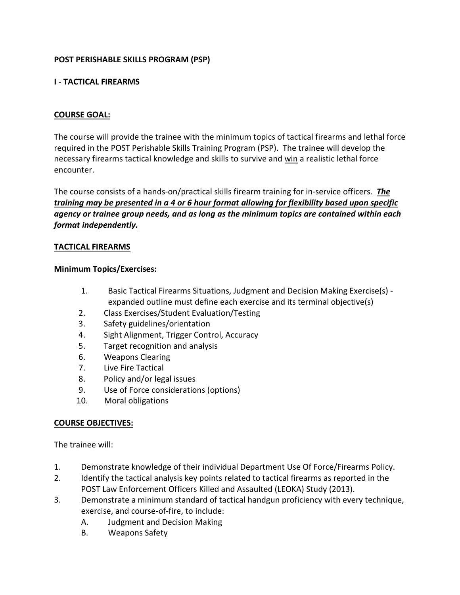# **POST PERISHABLE SKILLS PROGRAM (PSP)**

## **I - TACTICAL FIREARMS**

## **COURSE GOAL:**

The course will provide the trainee with the minimum topics of tactical firearms and lethal force required in the POST Perishable Skills Training Program (PSP). The trainee will develop the necessary firearms tactical knowledge and skills to survive and win a realistic lethal force encounter.

The course consists of a hands-on/practical skills firearm training for in-service officers. *The training may be presented in a 4 or 6 hour format allowing for flexibility based upon specific agency or trainee group needs, and as long as the minimum topics are contained within each format independently.*

### **TACTICAL FIREARMS**

### **Minimum Topics/Exercises:**

- 1. Basic Tactical Firearms Situations, Judgment and Decision Making Exercise(s) expanded outline must define each exercise and its terminal objective(s)
- 2. Class Exercises/Student Evaluation/Testing
- 3. Safety guidelines/orientation
- 4. Sight Alignment, Trigger Control, Accuracy
- 5. Target recognition and analysis
- 6. Weapons Clearing
- 7. Live Fire Tactical
- 8. Policy and/or legal issues
- 9. Use of Force considerations (options)
- 10. Moral obligations

# **COURSE OBJECTIVES:**

The trainee will:

- 1. Demonstrate knowledge of their individual Department Use Of Force/Firearms Policy.
- 2. Identify the tactical analysis key points related to tactical firearms as reported in the POST Law Enforcement Officers Killed and Assaulted (LEOKA) Study (2013).
- 3. Demonstrate a minimum standard of tactical handgun proficiency with every technique, exercise, and course-of-fire, to include:
	- A. Judgment and Decision Making
	- B. Weapons Safety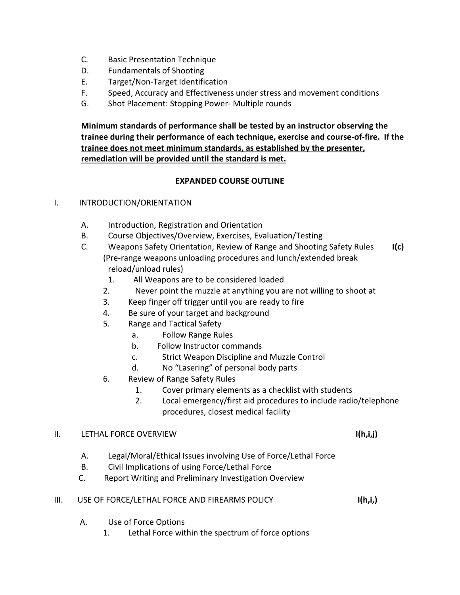- C. Basic Presentation Technique
- D. Fundamentals of Shooting
- E. Target/Non-Target Identification
- F. Speed, Accuracy and Effectiveness under stress and movement conditions
- G. Shot Placement: Stopping Power- Multiple rounds

**Minimum standards of performance shall be tested by an instructor observing the trainee during their performance of each technique, exercise and course-of-fire. If the trainee does not meet minimum standards, as established by the presenter, remediation will be provided until the standard is met.**

## **EXPANDED COURSE OUTLINE**

### I. INTRODUCTION/ORIENTATION

- A. Introduction, Registration and Orientation
- B. Course Objectives/Overview, Exercises, Evaluation/Testing
- C. Weapons Safety Orientation, Review of Range and Shooting Safety Rules **I(c)** (Pre-range weapons unloading procedures and lunch/extended break reload/unload rules)
	- 1. All Weapons are to be considered loaded
	- 2. Never point the muzzle at anything you are not willing to shoot at
	- 3. Keep finger off trigger until you are ready to fire
	- 4. Be sure of your target and background
	- 5. Range and Tactical Safety
		- a. Follow Range Rules
		- b. Follow Instructor commands
		- c. Strict Weapon Discipline and Muzzle Control
		- d. No "Lasering" of personal body parts
	- 6. Review of Range Safety Rules
		- 1. Cover primary elements as a checklist with students
		- 2. Local emergency/first aid procedures to include radio/telephone procedures, closest medical facility

### II. LETHAL FORCE OVERVIEW **I(h,i,j)**

- A. Legal/Moral/Ethical Issues involving Use of Force/Lethal Force
- B. Civil Implications of using Force/Lethal Force
- C. Report Writing and Preliminary Investigation Overview

### III. USE OF FORCE/LETHAL FORCE AND FIREARMS POLICY **I(h,i,)**

- A. Use of Force Options
	- 1. Lethal Force within the spectrum of force options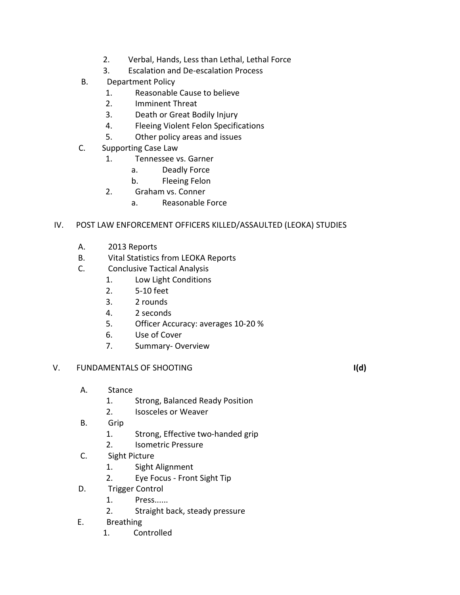- 2. Verbal, Hands, Less than Lethal, Lethal Force
- 3. Escalation and De-escalation Process
- B. Department Policy
	- 1. Reasonable Cause to believe
	- 2. Imminent Threat
	- 3. Death or Great Bodily Injury
	- 4. Fleeing Violent Felon Specifications
	- 5. Other policy areas and issues
- C. Supporting Case Law
	- 1. Tennessee vs. Garner
		- a. Deadly Force
		- b. Fleeing Felon
	- 2. Graham vs. Conner
		- a. Reasonable Force

## IV. POST LAW ENFORCEMENT OFFICERS KILLED/ASSAULTED (LEOKA) STUDIES

- A. 2013 Reports
- B. Vital Statistics from LEOKA Reports
- C. Conclusive Tactical Analysis
	- 1. Low Light Conditions
	- 2. 5-10 feet
	- 3. 2 rounds
	- 4. 2 seconds
	- 5. Officer Accuracy: averages 10-20 %
	- 6. Use of Cover
	- 7. Summary- Overview

### V. FUNDAMENTALS OF SHOOTING **I(d)**

- A. Stance
	- 1. Strong, Balanced Ready Position
	- 2. Isosceles or Weaver
- B. Grip
	- 1. Strong, Effective two-handed grip
	- 2. Isometric Pressure
- C. Sight Picture
	- 1. Sight Alignment
	- 2. Eye Focus Front Sight Tip
- D. Trigger Control
	- 1. Press......
	- 2. Straight back, steady pressure
- E. Breathing
	- 1. Controlled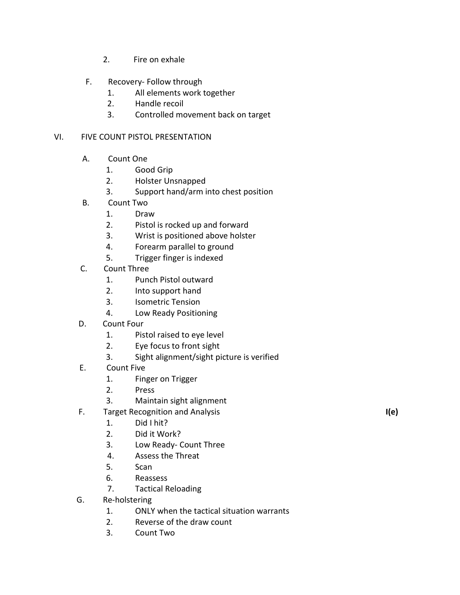- 2. Fire on exhale
- F. Recovery- Follow through
	- 1. All elements work together
	- 2. Handle recoil
	- 3. Controlled movement back on target

# VI. FIVE COUNT PISTOL PRESENTATION

- A. Count One
	- 1. Good Grip
	- 2. Holster Unsnapped
	- 3. Support hand/arm into chest position
- B. Count Two
	- 1. Draw
	- 2. Pistol is rocked up and forward
	- 3. Wrist is positioned above holster
	- 4. Forearm parallel to ground
	- 5. Trigger finger is indexed
- C. Count Three
	- 1. Punch Pistol outward
	- 2. Into support hand
	- 3. Isometric Tension
	- 4. Low Ready Positioning
- D. Count Four
	- 1. Pistol raised to eye level
	- 2. Eye focus to front sight
	- 3. Sight alignment/sight picture is verified
- E. Count Five
	- 1. Finger on Trigger
	- 2. Press
	- 3. Maintain sight alignment
- F. Target Recognition and Analysis **I(e)** 
	- 1. Did I hit?
	- 2. Did it Work?
	- 3. Low Ready- Count Three
	- 4. Assess the Threat
	- 5. Scan
	- 6. Reassess
	- 7. Tactical Reloading
- G. Re-holstering
	- 1. ONLY when the tactical situation warrants
	- 2. Reverse of the draw count
	- 3. Count Two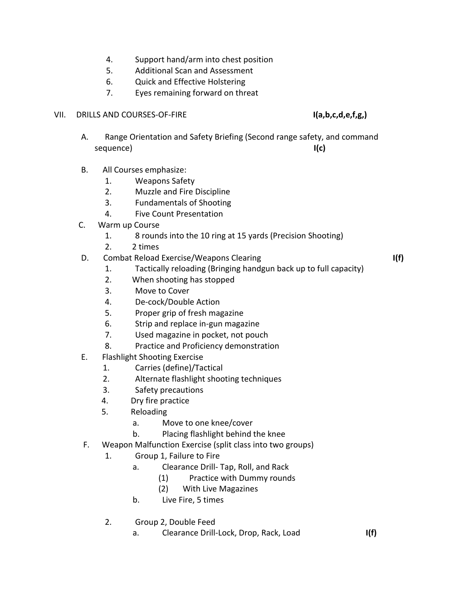- 4. Support hand/arm into chest position
- 5. Additional Scan and Assessment
- 6. Quick and Effective Holstering
- 7. Eyes remaining forward on threat

### VII. DRILLS AND COURSES-OF-FIRE **I(a,b,c,d,e,f,g,)**

- A. Range Orientation and Safety Briefing (Second range safety, and command sequence) **I(c)**
- B. All Courses emphasize:
	- 1. Weapons Safety
	- 2. Muzzle and Fire Discipline
	- 3. Fundamentals of Shooting
	- 4. Five Count Presentation
- C. Warm up Course
	- 1. 8 rounds into the 10 ring at 15 yards (Precision Shooting)
	- 2. 2 times
- D. Combat Reload Exercise/Weapons Clearing **I(f)**
	- 1. Tactically reloading (Bringing handgun back up to full capacity)
	- 2. When shooting has stopped
	- 3. Move to Cover
	- 4. De-cock/Double Action
	- 5. Proper grip of fresh magazine
	- 6. Strip and replace in-gun magazine
	- 7. Used magazine in pocket, not pouch
	- 8. Practice and Proficiency demonstration
- E. Flashlight Shooting Exercise
	- 1. Carries (define)/Tactical
	- 2. Alternate flashlight shooting techniques
	- 3. Safety precautions
	- 4. Dry fire practice
	- 5. Reloading
		- a. Move to one knee/cover
		- b. Placing flashlight behind the knee
- F. Weapon Malfunction Exercise (split class into two groups)
	- 1. Group 1, Failure to Fire
		- a. Clearance Drill- Tap, Roll, and Rack
			- (1) Practice with Dummy rounds
			- (2) With Live Magazines
		- b. Live Fire, 5 times
	- 2. Group 2, Double Feed
		- a. Clearance Drill-Lock, Drop, Rack, Load **I(f)**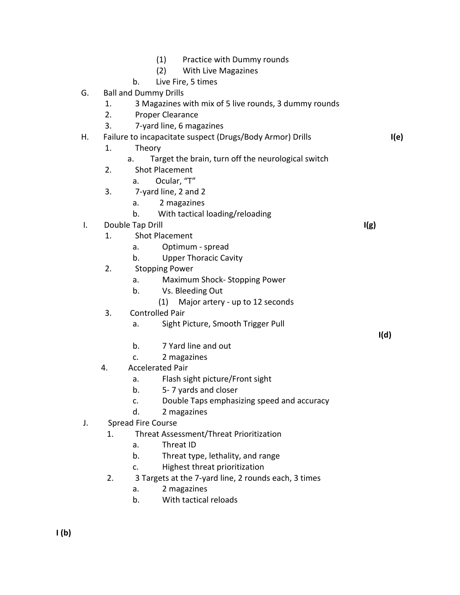|    |                                                           | b.                                                   | (1) Practice with Dummy rounds<br>(2)<br>With Live Magazines<br>Live Fire, 5 times |  |      |
|----|-----------------------------------------------------------|------------------------------------------------------|------------------------------------------------------------------------------------|--|------|
| G. |                                                           | <b>Ball and Dummy Drills</b>                         |                                                                                    |  |      |
|    | 1.                                                        |                                                      | 3 Magazines with mix of 5 live rounds, 3 dummy rounds                              |  |      |
|    | 2.                                                        |                                                      | Proper Clearance                                                                   |  |      |
|    | 3.                                                        |                                                      | 7-yard line, 6 magazines                                                           |  |      |
| Η. | Failure to incapacitate suspect (Drugs/Body Armor) Drills |                                                      |                                                                                    |  | I(e) |
|    | 1.<br>Theory                                              |                                                      |                                                                                    |  |      |
|    |                                                           | а.                                                   | Target the brain, turn off the neurological switch                                 |  |      |
|    | 2.                                                        |                                                      | <b>Shot Placement</b>                                                              |  |      |
|    |                                                           | a.                                                   | Ocular, "T"                                                                        |  |      |
|    | 3.                                                        |                                                      | 7-yard line, 2 and 2                                                               |  |      |
|    |                                                           | a.                                                   | 2 magazines                                                                        |  |      |
|    |                                                           | b.                                                   | With tactical loading/reloading                                                    |  |      |
| I. |                                                           | Double Tap Drill                                     |                                                                                    |  | I(g) |
|    | 1.                                                        |                                                      | <b>Shot Placement</b>                                                              |  |      |
|    |                                                           | а.                                                   | Optimum - spread                                                                   |  |      |
|    |                                                           | b.                                                   | <b>Upper Thoracic Cavity</b>                                                       |  |      |
|    | 2.                                                        |                                                      | <b>Stopping Power</b>                                                              |  |      |
|    |                                                           | a.                                                   | Maximum Shock-Stopping Power                                                       |  |      |
|    |                                                           | b.                                                   | Vs. Bleeding Out                                                                   |  |      |
|    |                                                           |                                                      | Major artery - up to 12 seconds<br>(1)                                             |  |      |
|    | 3.                                                        |                                                      | <b>Controlled Pair</b>                                                             |  |      |
|    |                                                           | a.                                                   | Sight Picture, Smooth Trigger Pull                                                 |  |      |
|    |                                                           |                                                      |                                                                                    |  | I(d) |
|    |                                                           | b.                                                   | 7 Yard line and out                                                                |  |      |
|    |                                                           | c.                                                   | 2 magazines                                                                        |  |      |
|    | 4.                                                        | <b>Accelerated Pair</b>                              |                                                                                    |  |      |
|    |                                                           | a.                                                   | Flash sight picture/Front sight                                                    |  |      |
|    |                                                           | b.                                                   | 5-7 yards and closer                                                               |  |      |
|    |                                                           | c.                                                   | Double Taps emphasizing speed and accuracy                                         |  |      |
|    |                                                           | d.                                                   | 2 magazines                                                                        |  |      |
| J. | <b>Spread Fire Course</b>                                 |                                                      |                                                                                    |  |      |
|    | 1.                                                        |                                                      | Threat Assessment/Threat Prioritization                                            |  |      |
|    |                                                           | a.                                                   | Threat ID                                                                          |  |      |
|    |                                                           | b.                                                   | Threat type, lethality, and range                                                  |  |      |
|    |                                                           | c.                                                   | Highest threat prioritization                                                      |  |      |
|    | 2.                                                        | 3 Targets at the 7-yard line, 2 rounds each, 3 times |                                                                                    |  |      |
|    |                                                           | a.                                                   | 2 magazines                                                                        |  |      |
|    |                                                           | b.                                                   | With tactical reloads                                                              |  |      |
|    |                                                           |                                                      |                                                                                    |  |      |